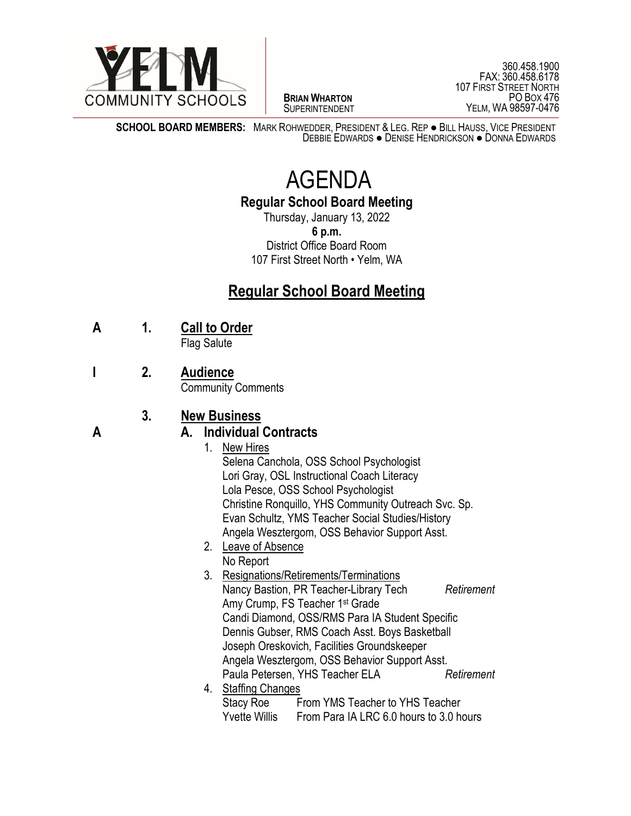

 $\overline{a}$ **BRIAN WHARTON** SUPERINTENDENT

**SCHOOL BOARD MEMBERS:** MARK ROHWEDDER, PRESIDENT & LEG. REP ● BILL HAUSS, VICE PRESIDENT DEBBIE EDWARDS ● DENISE HENDRICKSON ● DONNA EDWARDS

# AGENDA

#### **Regular School Board Meeting**

Thursday, January 13, 2022 **6 p.m.** District Office Board Room 107 First Street North • Yelm, WA

## **Regular School Board Meeting**

**A 1. Call to Order**

Flag Salute

**I 2. Audience**

Community Comments

### **3. New Business**

#### **A A. Individual Contracts**

- 1. New Hires Selena Canchola, OSS School Psychologist Lori Gray, OSL Instructional Coach Literacy Lola Pesce, OSS School Psychologist Christine Ronquillo, YHS Community Outreach Svc. Sp. Evan Schultz, YMS Teacher Social Studies/History Angela Wesztergom, OSS Behavior Support Asst.
- 2. Leave of Absence
	- No Report
- 3. Resignations/Retirements/Terminations Nancy Bastion, PR Teacher-Library Tech *Retirement* Amy Crump, FS Teacher 1st Grade Candi Diamond, OSS/RMS Para IA Student Specific Dennis Gubser, RMS Coach Asst. Boys Basketball Joseph Oreskovich, Facilities Groundskeeper Angela Wesztergom, OSS Behavior Support Asst. Paula Petersen, YHS Teacher ELA *Retirement* 4. Staffing Changes
	- Stacy Roe From YMS Teacher to YHS Teacher Yvette Willis From Para IA LRC 6.0 hours to 3.0 hours